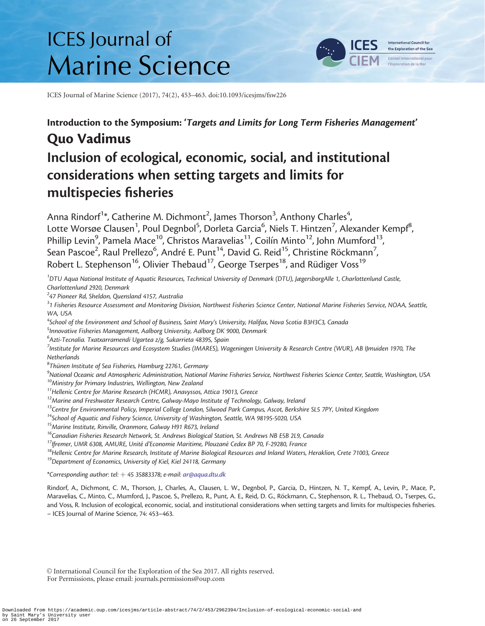# **ICES** Journal of **Marine Science**



ICES Journal of Marine Science (2017), 74(2), 453–463. doi:10.1093/icesjms/fsw226

# Introduction to the Symposium: 'Targets and Limits for Long Term Fisheries Management' Quo Vadimus

# Inclusion of ecological, economic, social, and institutional considerations when setting targets and limits for multispecies fisheries

Anna Rindorf<sup>1</sup>\*, Catherine M. Dichmont<sup>2</sup>, James Thorson<sup>3</sup>, Anthony Charles<sup>4</sup> , Lotte Worsøe Clausen<sup>1</sup>, Poul Degnbol<sup>5</sup>, Dorleta Garcia<sup>6</sup>, Niels T. Hintzen<sup>7</sup>, Alexander Kempf<sup>8</sup> , Phillip Levin<sup>9</sup>, Pamela Mace<sup>10</sup>, Christos Maravelias<sup>11</sup>, Coilín Minto<sup>12</sup>, John Mumford<sup>13</sup>, Sean Pascoe<sup>2</sup>, Raul Prellezo<sup>6</sup>, André E. Punt<sup>14</sup>, David G. Reid<sup>15</sup>, Christine Röckmann<sup>7</sup> , Robert L. Stephenson<sup>16</sup>, Olivier Thebaud<sup>17</sup>, George Tserpes<sup>18</sup>, and Rüdiger Voss<sup>19</sup>

<sup>1</sup>DTU Aqua National Institute of Aquatic Resources, Technical University of Denmark (DTU), JægersborgAlle 1, Charlottenlund Castle, Charlottenlund 2920, Denmark

 $24$ 7 Pioneer Rd, Sheldon, Quensland 4157, Australia

 $^{\rm 3}$ 1 Fisheries Resource Assessment and Monitoring Division, Northwest Fisheries Science Center, National Marine Fisheries Service, NOAA, Seattle, WA, USA

<sup>4</sup>School of the Environment and School of Business, Saint Mary's University, Halifax, Nova Scotia B3H3C3, Canada

<sup>5</sup>Innovative Fisheries Management, Aalborg University, Aalborg DK 9000, Denmark

 $^6$ Azti-Tecnalia. Txatxarramendi Ugartea z/g, Sukarrieta 48395, Spain

<sup>7</sup>Institute for Marine Resources and Ecosystem Studies (IMARES), Wageningen University & Research Centre (WUR), AB IJmuiden 1970, The Netherlands

 $\frac{8}{3}$ Thünen Institute of Sea Fisheries, Hamburg 22761, Germany<br> $\frac{8}{3}$ National Oceanic and Atmospheric Administration National

<sup>9</sup>National Oceanic and Atmospheric Administration, National Marine Fisheries Service, Northwest Fisheries Science Center, Seattle, Washington, USA <sup>10</sup>Ministry for Primary Industries, Wellington, USA 10Ministry for Prima

 $11$ Hellenic Centre for Marine Research (HCMR), Anavyssos, Attica 19013, Greece

<sup>12</sup> Marine and Freshwater Research Centre, Galway-Mayo Institute of Technology, Galway, Ireland

<sup>13</sup>Centre for Environmental Policy, Imperial College London, Silwood Park Campus, Ascot, Berkshire SL5 7PY, United Kingdom

<sup>14</sup>School of Aquatic and Fishery Science, University of Washington, Seattle, WA 98195-5020, USA

<sup>15</sup> Marine Institute, Rinville, Oranmore, Galway H91 R673, Ireland

<sup>16</sup>Canadian Fisheries Research Network, St. Andrews Biological Station, St. Andrews NB E5B 2L9, Canada<br><sup>17</sup>Ifremer, UMR 6308, AMURE, Unité d'Economie Maritime, Plouzané Cedex BP 70, F-29280, France

 $18$ Hellenic Centre for Marine Research, Institute of Marine Biological Resources and Inland Waters, Heraklion, Crete 71003, Greece

<sup>19</sup>Department of Economics, University of Kiel, Kiel 24118, Germany

\*Corresponding author: tel:  $+$  45 35883378; e-mail: [ar@aqua.dtu.dk](mailto:ar@aqua.dtu.dk)

Rindorf, A., Dichmont, C. M., Thorson, J., Charles, A., Clausen, L. W., Degnbol, P., Garcia, D., Hintzen, N. T., Kempf, A., Levin, P., Mace, P., Maravelias, C., Minto, C., Mumford, J., Pascoe, S., Prellezo, R., Punt, A. E., Reid, D. G., Röckmann, C., Stephenson, R. L., Thebaud, O., Tserpes, G., and Voss, R. Inclusion of ecological, economic, social, and institutional considerations when setting targets and limits for multispecies fisheries. – ICES Journal of Marine Science, 74: 453–463.

V<sup>C</sup> International Council for the Exploration of the Sea 2017. All rights reserved. For Permissions, please email: journals.permissions@oup.com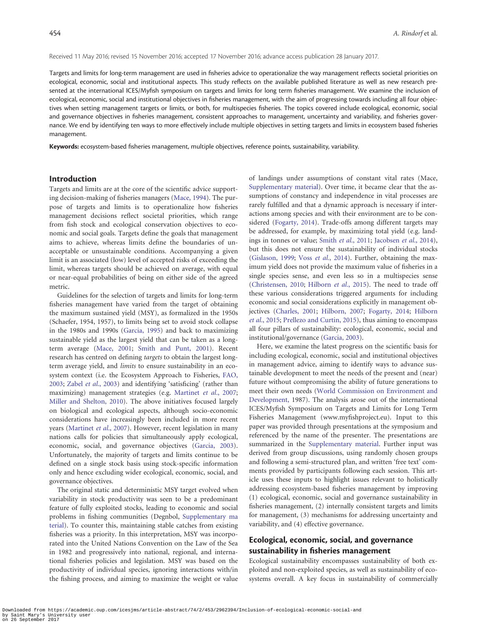Received 11 May 2016; revised 15 November 2016; accepted 17 November 2016; advance access publication 28 January 2017.

Targets and limits for long-term management are used in fisheries advice to operationalize the way management reflects societal priorities on ecological, economic, social and institutional aspects. This study reflects on the available published literature as well as new research presented at the international ICES/Myfish symposium on targets and limits for long term fisheries management. We examine the inclusion of ecological, economic, social and institutional objectives in fisheries management, with the aim of progressing towards including all four objectives when setting management targets or limits, or both, for multispecies fisheries. The topics covered include ecological, economic, social and governance objectives in fisheries management, consistent approaches to management, uncertainty and variability, and fisheries governance. We end by identifying ten ways to more effectively include multiple objectives in setting targets and limits in ecosystem based fisheries management.

Keywords: ecosystem-based fisheries management, multiple objectives, reference points, sustainability, variability.

#### Introduction

Targets and limits are at the core of the scientific advice supporting decision-making of fisheries managers [\(Mace, 1994\)](#page-8-0). The purpose of targets and limits is to operationalize how fisheries management decisions reflect societal priorities, which range from fish stock and ecological conservation objectives to economic and social goals. Targets define the goals that management aims to achieve, whereas limits define the boundaries of unacceptable or unsustainable conditions. Accompanying a given limit is an associated (low) level of accepted risks of exceeding the limit, whereas targets should be achieved on average, with equal or near-equal probabilities of being on either side of the agreed metric.

Guidelines for the selection of targets and limits for long-term fisheries management have varied from the target of obtaining the maximum sustained yield (MSY), as formalized in the 1950s (Schaefer, 1954, 1957), to limits being set to avoid stock collapse in the 1980s and 1990s [\(Garcia, 1995\)](#page-8-0) and back to maximizing sustainable yield as the largest yield that can be taken as a longterm average ([Mace, 2001](#page-8-0); [Smith and Punt, 2001\)](#page-9-0). Recent research has centred on defining targets to obtain the largest longterm average yield, and limits to ensure sustainability in an ecosystem context (i.e. the Ecosystem Approach to Fisheries, [FAO,](#page-8-0) [2003;](#page-8-0) Zabel et al.[, 2003\)](#page-10-0) and identifying 'satisficing' (rather than maximizing) management strategies (e.g. [Martinet](#page-8-0) et al., 2007; [Miller and Shelton, 2010\)](#page-8-0). The above initiatives focused largely on biological and ecological aspects, although socio-economic considerations have increasingly been included in more recent years [\(Martinet](#page-8-0) et al., 2007). However, recent legislation in many nations calls for policies that simultaneously apply ecological, economic, social, and governance objectives ([Garcia, 2003\)](#page-8-0). Unfortunately, the majority of targets and limits continue to be defined on a single stock basis using stock-specific information only and hence excluding wider ecological, economic, social, and governance objectives.

The original static and deterministic MSY target evolved when variability in stock productivity was seen to be a predominant feature of fully exploited stocks, leading to economic and social problems in fishing communities (Degnbol, [Supplementary ma](http://icesjms.oxfordjournals.org/lookup/suppl/doi:10.1093/icesjms/fsw226/-/DC1) [terial\)](http://icesjms.oxfordjournals.org/lookup/suppl/doi:10.1093/icesjms/fsw226/-/DC1). To counter this, maintaining stable catches from existing fisheries was a priority. In this interpretation, MSY was incorporated into the United Nations Convention on the Law of the Sea in 1982 and progressively into national, regional, and international fisheries policies and legislation. MSY was based on the productivity of individual species, ignoring interactions with/in the fishing process, and aiming to maximize the weight or value of landings under assumptions of constant vital rates (Mace, [Supplementary material](http://icesjms.oxfordjournals.org/lookup/suppl/doi:10.1093/icesjms/fsw226/-/DC1)). Over time, it became clear that the assumptions of constancy and independence in vital processes are rarely fulfilled and that a dynamic approach is necessary if interactions among species and with their environment are to be considered [\(Fogarty, 2014](#page-8-0)). Trade-offs among different targets may be addressed, for example, by maximizing total yield (e.g. landings in tonnes or value; Smith et al.[, 2011;](#page-9-0) [Jacobsen](#page-8-0) et al., 2014), but this does not ensure the sustainability of individual stocks ([Gislason, 1999;](#page-8-0) Voss et al.[, 2014\)](#page-10-0). Further, obtaining the maximum yield does not provide the maximum value of fisheries in a single species sense, and even less so in a multispecies sense ([Christensen, 2010;](#page-7-0) [Hilborn](#page-8-0) et al., 2015). The need to trade off these various considerations triggered arguments for including economic and social considerations explicitly in management objectives [\(Charles, 2001](#page-7-0); [Hilborn, 2007](#page-8-0); [Fogarty, 2014](#page-8-0); [Hilborn](#page-8-0) et al.[, 2015](#page-8-0); [Prellezo and Curtin, 2015](#page-9-0)), thus aiming to encompass all four pillars of sustainability: ecological, economic, social and institutional/governance ([Garcia, 2003\)](#page-8-0).

Here, we examine the latest progress on the scientific basis for including ecological, economic, social and institutional objectives in management advice, aiming to identify ways to advance sustainable development to meet the needs of the present and (near) future without compromising the ability of future generations to meet their own needs [\(World Commission on Environment and](#page-10-0) [Development,](#page-10-0) 1987). The analysis arose out of the international ICES/Myfish Symposium on Targets and Limits for Long Term Fisheries Management [\(www.myfishproject.eu](http://www.myfishproject.eu)). Input to this paper was provided through presentations at the symposium and referenced by the name of the presenter. The presentations are summarized in the [Supplementary material](http://icesjms.oxfordjournals.org/lookup/suppl/doi:10.1093/icesjms/fsw226/-/DC1). Further input was derived from group discussions, using randomly chosen groups and following a semi-structured plan, and written 'free text' comments provided by participants following each session. This article uses these inputs to highlight issues relevant to holistically addressing ecosystem-based fisheries management by improving (1) ecological, economic, social and governance sustainability in fisheries management, (2) internally consistent targets and limits for management, (3) mechanisms for addressing uncertainty and variability, and (4) effective governance.

# Ecological, economic, social, and governance sustainability in fisheries management

Ecological sustainability encompasses sustainability of both exploited and non-exploited species, as well as sustainability of ecosystems overall. A key focus in sustainability of commercially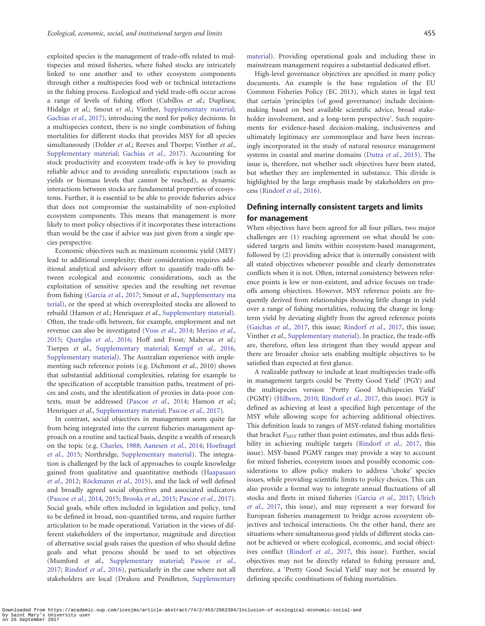exploited species is the management of trade-offs related to multispecies and mixed fisheries, where fished stocks are intricately linked to one another and to other ecosystem components through either a multispecies food web or technical interactions in the fishing process. Ecological and yield trade-offs occur across a range of levels of fishing effort (Cubillos et al.; Duplisea; Hidalgo et al.; Smout et al.; Vinther, [Supplementary material;](http://icesjms.oxfordjournals.org/lookup/suppl/doi:10.1093/icesjms/fsw226/-/DC1) [Gachias](#page-8-0) et al., 2017), introducing the need for policy decisions. In a multispecies context, there is no single combination of fishing mortalities for different stocks that provides MSY for all species simultaneously (Dolder et al.; Reeves and Thorpe; Vinther et al., [Supplementary material](http://icesjms.oxfordjournals.org/lookup/suppl/doi:10.1093/icesjms/fsw226/-/DC1); [Gachias](#page-8-0) et al., 2017). Accounting for stock productivity and ecosystem trade-offs is key to providing reliable advice and to avoiding unrealistic expectations (such as yields or biomass levels that cannot be reached), as dynamic interactions between stocks are fundamental properties of ecosystems. Further, it is essential to be able to provide fisheries advice that does not compromise the sustainability of non-exploited ecosystem components. This means that management is more likely to meet policy objectives if it incorporates these interactions than would be the case if advice was just given from a single species perspective.

Economic objectives such as maximum economic yield (MEY) lead to additional complexity; their consideration requires additional analytical and advisory effort to quantify trade-offs between ecological and economic considerations, such as the exploitation of sensitive species and the resulting net revenue from fishing [\(Garcia](#page-8-0) et al., 2017; Smout et al., [Supplementary ma](http://icesjms.oxfordjournals.org/lookup/suppl/doi:10.1093/icesjms/fsw226/-/DC1) [terial\)](http://icesjms.oxfordjournals.org/lookup/suppl/doi:10.1093/icesjms/fsw226/-/DC1), or the speed at which overexploited stocks are allowed to rebuild (Hamon et al.; Henriquez et al., [Supplementary material](http://icesjms.oxfordjournals.org/lookup/suppl/doi:10.1093/icesjms/fsw226/-/DC1)). Often, the trade-offs between, for example, employment and net revenue can also be investigated (Voss et al.[, 2014](#page-10-0); [Merino](#page-8-0) et al., [2015;](#page-8-0) [Quetglas](#page-9-0) et al., 2016; Hoff and Frost; Mahevas et al.; Tserpes et al., [Supplementary material;](http://icesjms.oxfordjournals.org/lookup/suppl/doi:10.1093/icesjms/fsw226/-/DC1) Kempf et al.[, 2016,](#page-8-0) [Supplementary material](http://icesjms.oxfordjournals.org/lookup/suppl/doi:10.1093/icesjms/fsw226/-/DC1)). The Australian experience with implementing such reference points (e.g. Dichmont et al., 2010) shows that substantial additional complexities, relating for example to the specification of acceptable transition paths, treatment of prices and costs, and the identification of proxies in data-poor con-texts, must be addressed [\(Pascoe](#page-9-0) et al., 2014; Hamon et al.; Henriquez et al., [Supplementary material](http://icesjms.oxfordjournals.org/lookup/suppl/doi:10.1093/icesjms/fsw226/-/DC1); [Pascoe](#page-9-0) et al., 2017).

In contrast, social objectives in management seem quite far from being integrated into the current fisheries management approach on a routine and tactical basis, despite a wealth of research on the topic (e.g. [Charles, 1988](#page-7-0); [Aanesen](#page-7-0) et al., 2014; [Hoefnagel](#page-8-0) et al.[, 2015](#page-8-0); Northridge, [Supplementary material](http://icesjms.oxfordjournals.org/lookup/suppl/doi:10.1093/icesjms/fsw226/-/DC1)). The integration is challenged by the lack of approaches to couple knowledge gained from qualitative and quantitative methods [\(Haapasaari](#page-8-0) et al.[, 2012;](#page-8-0) Röckmann et al., 2015), and the lack of well defined and broadly agreed social objectives and associated indicators ([Pascoe](#page-9-0) et al., 2014, [2015](#page-9-0); [Brooks](#page-7-0) et al., 2015; [Pascoe](#page-9-0) et al., 2017). Social goals, while often included in legislation and policy, tend to be defined in broad, non-quantified terms, and require further articulation to be made operational. Variation in the views of different stakeholders of the importance, magnitude and direction of alternative social goals raises the question of who should define goals and what process should be used to set objectives (Mumford et al., [Supplementary material](http://icesjms.oxfordjournals.org/lookup/suppl/doi:10.1093/icesjms/fsw226/-/DC1); [Pascoe](#page-9-0) et al., [2017;](#page-9-0) [Rindorf](#page-9-0) et al., 2016), particularly in the case where not all stakeholders are local (Drakou and Pendleton, [Supplementary](http://icesjms.oxfordjournals.org/lookup/suppl/doi:10.1093/icesjms/fsw226/-/DC1) [material\)](http://icesjms.oxfordjournals.org/lookup/suppl/doi:10.1093/icesjms/fsw226/-/DC1). Providing operational goals and including these in mainstream management requires a substantial dedicated effort.

High-level governance objectives are specified in many policy documents. An example is the base regulation of the EU Common Fisheries Policy (EC 2013), which states in legal text that certain 'principles (of good governance) include decisionmaking based on best available scientific advice, broad stakeholder involvement, and a long-term perspective'. Such requirements for evidence-based decision-making, inclusiveness and ultimately legitimacy are commonplace and have been increasingly incorporated in the study of natural resource management systems in coastal and marine domains (Dutra et al.[, 2015\)](#page-7-0). The issue is, therefore, not whether such objectives have been stated, but whether they are implemented in substance. This divide is highlighted by the large emphasis made by stakeholders on process [\(Rindorf](#page-9-0) et al., 2016).

## Defining internally consistent targets and limits for management

When objectives have been agreed for all four pillars, two major challenges are (1) reaching agreement on what should be considered targets and limits within ecosystem-based management, followed by (2) providing advice that is internally consistent with all stated objectives whenever possible and clearly demonstrates conflicts when it is not. Often, internal consistency between reference points is low or non-existent, and advice focuses on tradeoffs among objectives. However, MSY reference points are frequently derived from relationships showing little change in yield over a range of fishing mortalities, reducing the change in longterm yield by deviating slightly from the agreed reference points [\(Gaichas](#page-8-0) et al., 2017, this issue; [Rindorf](#page-9-0) et al., 2017, this issue; Vinther et al., [Supplementary material](http://icesjms.oxfordjournals.org/lookup/suppl/doi:10.1093/icesjms/fsw226/-/DC1)). In practice, the trade-offs are, therefore, often less stringent than they would appear and there are broader choice sets enabling multiple objectives to be satisfied than expected at first glance.

A realizable pathway to include at least multispecies trade-offs in management targets could be 'Pretty Good Yield' (PGY) and the multispecies version 'Pretty Good Multispecies Yield' (PGMY) ([Hilborn, 2010;](#page-8-0) [Rindorf](#page-9-0) et al., 2017, this issue). PGY is defined as achieving at least a specified high percentage of the MSY while allowing scope for achieving additional objectives. This definition leads to ranges of MSY-related fishing mortalities that bracket  $F_{MSY}$  rather than point estimates, and thus adds flexi-bility in achieving multiple targets [\(Rindorf](#page-9-0) et al., 2017, this issue). MSY-based PGMY ranges may provide a way to account for mixed fisheries, ecosystem issues and possibly economic considerations to allow policy makers to address 'choke' species issues, while providing scientific limits to policy choices. This can also provide a formal way to integrate annual fluctuations of all stocks and fleets in mixed fisheries (Garcia et al.[, 2017;](#page-8-0) [Ulrich](#page-9-0) et al.[, 2017](#page-9-0), this issue), and may represent a way forward for European fisheries management to bridge across ecosystem objectives and technical interactions. On the other hand, there are situations where simultaneous good yields of different stocks cannot be achieved or where ecological, economic, and social objectives conflict ([Rindorf](#page-9-0) et al., 2017, this issue). Further, social objectives may not be directly related to fishing pressure and, therefore, a 'Pretty Good Social Yield' may not be ensured by defining specific combinations of fishing mortalities.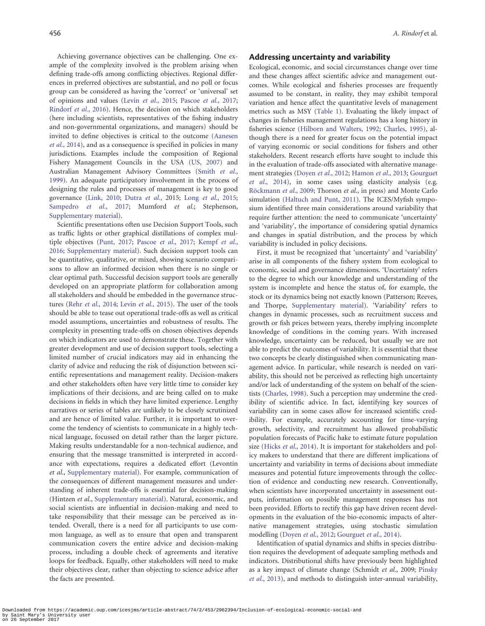Achieving governance objectives can be challenging. One example of the complexity involved is the problem arising when defining trade-offs among conflicting objectives. Regional differences in preferred objectives are substantial, and no poll or focus group can be considered as having the 'correct' or 'universal' set of opinions and values (Levin et al.[, 2015](#page-8-0); [Pascoe](#page-9-0) et al., 2017; [Rindorf](#page-9-0) et al., 2016). Hence, the decision on which stakeholders (here including scientists, representatives of the fishing industry and non-governmental organizations, and managers) should be invited to define objectives is critical to the outcome [\(Aanesen](#page-7-0) et al.[, 2014](#page-7-0)), and as a consequence is specified in policies in many jurisdictions. Examples include the composition of Regional Fishery Management Councils in the USA ([US, 2007\)](#page-9-0) and Australian Management Advisory Committees [\(Smith](#page-9-0) et al., [1999\)](#page-9-0). An adequate participatory involvement in the process of designing the rules and processes of management is key to good governance [\(Link, 2010](#page-8-0); [Dutra](#page-7-0) et al., 2015; Long et al.[, 2015](#page-8-0); [Sampedro](#page-9-0) et al., 2017; Mumford et al.; Stephenson, [Supplementary material](http://icesjms.oxfordjournals.org/lookup/suppl/doi:10.1093/icesjms/fsw226/-/DC1)).

Scientific presentations often use Decision Support Tools, such as traffic lights or other graphical distillations of complex multiple objectives [\(Punt, 2017;](#page-9-0) [Pascoe](#page-9-0) et al., 2017; [Kempf](#page-8-0) et al., [2016;](#page-8-0) [Supplementary material\)](http://icesjms.oxfordjournals.org/lookup/suppl/doi:10.1093/icesjms/fsw226/-/DC1). Such decision support tools can be quantitative, qualitative, or mixed, showing scenario comparisons to allow an informed decision when there is no single or clear optimal path. Successful decision support tools are generally developed on an appropriate platform for collaboration among all stakeholders and should be embedded in the governance structures (Rehr et al.[, 2014;](#page-9-0) Levin et al.[, 2015](#page-8-0)). The user of the tools should be able to tease out operational trade-offs as well as critical model assumptions, uncertainties and robustness of results. The complexity in presenting trade-offs on chosen objectives depends on which indicators are used to demonstrate these. Together with greater development and use of decision support tools, selecting a limited number of crucial indicators may aid in enhancing the clarity of advice and reducing the risk of disjunction between scientific representations and management reality. Decision-makers and other stakeholders often have very little time to consider key implications of their decisions, and are being called on to make decisions in fields in which they have limited experience. Lengthy narratives or series of tables are unlikely to be closely scrutinized and are hence of limited value. Further, it is important to overcome the tendency of scientists to communicate in a highly technical language, focussed on detail rather than the larger picture. Making results understandable for a non-technical audience, and ensuring that the message transmitted is interpreted in accordance with expectations, requires a dedicated effort (Levontin et al., [Supplementary material\)](http://icesjms.oxfordjournals.org/lookup/suppl/doi:10.1093/icesjms/fsw226/-/DC1). For example, communication of the consequences of different management measures and understanding of inherent trade-offs is essential for decision-making (Hintzen et al., [Supplementary material\)](http://icesjms.oxfordjournals.org/lookup/suppl/doi:10.1093/icesjms/fsw226/-/DC1). Natural, economic, and social scientists are influential in decision-making and need to take responsibility that their message can be perceived as intended. Overall, there is a need for all participants to use common language, as well as to ensure that open and transparent communication covers the entire advice and decision-making process, including a double check of agreements and iterative loops for feedback. Equally, other stakeholders will need to make their objectives clear, rather than objecting to science advice after the facts are presented.

#### Addressing uncertainty and variability

Ecological, economic, and social circumstances change over time and these changes affect scientific advice and management outcomes. While ecological and fisheries processes are frequently assumed to be constant, in reality, they may exhibit temporal variation and hence affect the quantitative levels of management metrics such as MSY [\(Table 1](#page-4-0)). Evaluating the likely impact of changes in fisheries management regulations has a long history in fisheries science [\(Hilborn and Walters, 1992](#page-8-0); [Charles, 1995](#page-7-0)), although there is a need for greater focus on the potential impact of varying economic or social conditions for fishers and other stakeholders. Recent research efforts have sought to include this in the evaluation of trade-offs associated with alternative management strategies ([Doyen](#page-7-0) et al., 2012; [Hamon](#page-8-0) et al., 2013; [Gourguet](#page-8-0) et al.[, 2014](#page-8-0)), in some cases using elasticity analysis (e.g. Röckmann et al., 2009; Thorson et al., in press) and Monte Carlo simulation [\(Haltuch and Punt, 2011\)](#page-8-0). The ICES/Myfish symposium identified three main considerations around variability that require further attention: the need to communicate 'uncertainty' and 'variability', the importance of considering spatial dynamics and changes in spatial distribution, and the process by which variability is included in policy decisions.

First, it must be recognized that 'uncertainty' and 'variability' arise in all components of the fishery system from ecological to economic, social and governance dimensions. 'Uncertainty' refers to the degree to which our knowledge and understanding of the system is incomplete and hence the status of, for example, the stock or its dynamics being not exactly known (Patterson; Reeves, and Thorpe, [Supplementary material](http://icesjms.oxfordjournals.org/lookup/suppl/doi:10.1093/icesjms/fsw226/-/DC1)). 'Variability' refers to changes in dynamic processes, such as recruitment success and growth or fish prices between years, thereby implying incomplete knowledge of conditions in the coming years. With increased knowledge, uncertainty can be reduced, but usually we are not able to predict the outcomes of variability. It is essential that these two concepts be clearly distinguished when communicating management advice. In particular, while research is needed on variability, this should not be perceived as reflecting high uncertainty and/or lack of understanding of the system on behalf of the scientists ([Charles, 1998\)](#page-7-0). Such a perception may undermine the credibility of scientific advice. In fact, identifying key sources of variability can in some cases allow for increased scientific credibility. For example, accurately accounting for time-varying growth, selectivity, and recruitment has allowed probabilistic population forecasts of Pacific hake to estimate future population size (Hicks *et al.*[, 2014](#page-8-0)). It is important for stakeholders and policy makers to understand that there are different implications of uncertainty and variability in terms of decisions about immediate measures and potential future improvements through the collection of evidence and conducting new research. Conventionally, when scientists have incorporated uncertainty in assessment outputs, information on possible management responses has not been provided. Efforts to rectify this gap have driven recent developments in the evaluation of the bio-economic impacts of alternative management strategies, using stochastic simulation modelling ([Doyen](#page-7-0) et al., 2012; [Gourguet](#page-8-0) et al., 2014).

Identification of spatial dynamics and shifts in species distribution requires the development of adequate sampling methods and indicators. Distributional shifts have previously been highlighted as a key impact of climate change (Schmidt et al., 2009; [Pinsky](#page-9-0) et al.[, 2013](#page-9-0)), and methods to distinguish inter-annual variability,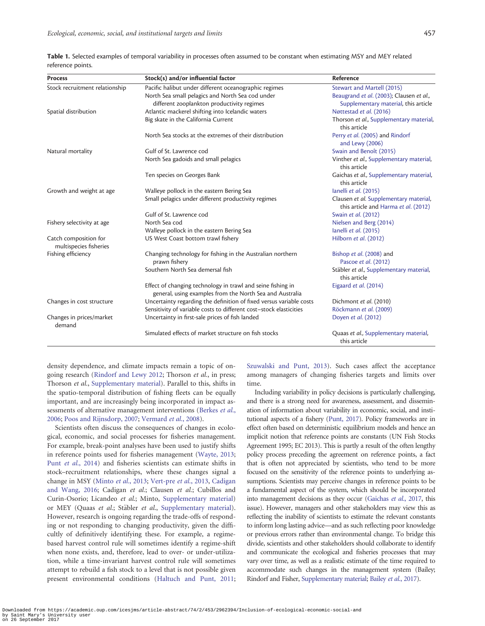| <b>Process</b>                                  | Stock(s) and/or influential factor                                                                                      | Reference                                                                      |
|-------------------------------------------------|-------------------------------------------------------------------------------------------------------------------------|--------------------------------------------------------------------------------|
| Stock recruitment relationship                  | Pacific halibut under different oceanographic regimes                                                                   | Stewart and Martell (2015)                                                     |
|                                                 | North Sea small pelagics and North Sea cod under                                                                        | Beaugrand et al. (2003); Clausen et al.,                                       |
|                                                 | different zooplankton productivity regimes                                                                              | Supplementary material, this article                                           |
| Spatial distribution                            | Atlantic mackerel shifting into Icelandic waters                                                                        | Nøttestad et al. (2016)                                                        |
|                                                 | Big skate in the California Current                                                                                     | Thorson et al., Supplementary material,<br>this article                        |
|                                                 | North Sea stocks at the extremes of their distribution                                                                  | Perry et al. (2005) and Rindorf<br>and Lewy (2006)                             |
| Natural mortality                               | Gulf of St. Lawrence cod                                                                                                | Swain and Benoît (2015)                                                        |
|                                                 | North Sea gadoids and small pelagics                                                                                    | Vinther et al., Supplementary material,<br>this article                        |
|                                                 | Ten species on Georges Bank                                                                                             | Gaichas et al., Supplementary material,<br>this article                        |
| Growth and weight at age                        | Walleye pollock in the eastern Bering Sea                                                                               | lanelli et al. (2015)                                                          |
|                                                 | Small pelagics under different productivity regimes                                                                     | Clausen et al. Supplementary material,<br>this article and Harma et al. (2012) |
|                                                 | Gulf of St. Lawrence cod                                                                                                | Swain et al. (2012)                                                            |
| Fishery selectivity at age                      | North Sea cod                                                                                                           | Nielsen and Berg (2014)                                                        |
|                                                 | Walleye pollock in the eastern Bering Sea                                                                               | lanelli et al. (2015)                                                          |
| Catch composition for<br>multispecies fisheries | US West Coast bottom trawl fishery                                                                                      | Hilborn et al. (2012)                                                          |
| Fishing efficiency                              | Changing technology for fishing in the Australian northern<br>prawn fishery                                             | Bishop et al. (2008) and<br>Pascoe et al. (2012)                               |
|                                                 | Southern North Sea demersal fish                                                                                        | Stäbler et al., Supplementary material,<br>this article                        |
|                                                 | Effect of changing technology in trawl and seine fishing in<br>general, using examples from the North Sea and Australia | Eigaard et al. (2014)                                                          |
| Changes in cost structure                       | Uncertainty regarding the definition of fixed versus variable costs                                                     | Dichmont et al. (2010)                                                         |
|                                                 | Sensitivity of variable costs to different cost-stock elasticities                                                      | Röckmann et al. (2009)                                                         |
| Changes in prices/market<br>demand              | Uncertainty in first-sale prices of fish landed                                                                         | Doyen et al. (2012)                                                            |
|                                                 | Simulated effects of market structure on fish stocks                                                                    | Quaas et al., Supplementary material,<br>this article                          |

<span id="page-4-0"></span>Table 1. Selected examples of temporal variability in processes often assumed to be constant when estimating MSY and MEY related reference points.

density dependence, and climate impacts remain a topic of ongoing research ([Rindorf and Lewy 2012](#page-9-0); Thorson et al., in press; Thorson et al., [Supplementary material\)](http://icesjms.oxfordjournals.org/lookup/suppl/doi:10.1093/icesjms/fsw226/-/DC1). Parallel to this, shifts in the spatio-temporal distribution of fishing fleets can be equally important, and are increasingly being incorporated in impact as-sessments of alternative management interventions ([Berkes](#page-7-0) et al., [2006;](#page-7-0) [Poos and Rijnsdorp, 2007](#page-9-0); [Vermard](#page-9-0) et al., 2008).

Scientists often discuss the consequences of changes in ecological, economic, and social processes for fisheries management. For example, break-point analyses have been used to justify shifts in reference points used for fisheries management [\(Wayte, 2013;](#page-10-0) Punt et al.[, 2014](#page-9-0)) and fisheries scientists can estimate shifts in stock–recruitment relationships, where these changes signal a change in MSY ([Minto](#page-8-0) et al., 2013; [Vert-pre](#page-10-0) et al., 2013, [Cadigan](#page-7-0) [and Wang, 2016;](#page-7-0) Cadigan et al.; Clausen et al.; Cubillos and Curin-Osorio; Licandeo et al.; Minto, [Supplementary material](http://icesjms.oxfordjournals.org/lookup/suppl/doi:10.1093/icesjms/fsw226/-/DC1)) or MEY (Quaas et al.; Stäbler et al., [Supplementary material](http://icesjms.oxfordjournals.org/lookup/suppl/doi:10.1093/icesjms/fsw226/-/DC1)). However, research is ongoing regarding the trade-offs of responding or not responding to changing productivity, given the difficultly of definitively identifying these. For example, a regimebased harvest control rule will sometimes identify a regime-shift when none exists, and, therefore, lead to over- or under-utilization, while a time-invariant harvest control rule will sometimes attempt to rebuild a fish stock to a level that is not possible given present environmental conditions [\(Haltuch and Punt, 2011;](#page-8-0)

[Szuwalski and Punt, 2013](#page-9-0)). Such cases affect the acceptance among managers of changing fisheries targets and limits over time.

Including variability in policy decisions is particularly challenging, and there is a strong need for awareness, assessment, and dissemination of information about variability in economic, social, and institutional aspects of a fishery [\(Punt, 2017](#page-9-0)). Policy frameworks are in effect often based on deterministic equilibrium models and hence an implicit notion that reference points are constants (UN Fish Stocks Agreement 1995; EC 2013). This is partly a result of the often lengthy policy process preceding the agreement on reference points, a fact that is often not appreciated by scientists, who tend to be more focused on the sensitivity of the reference points to underlying assumptions. Scientists may perceive changes in reference points to be a fundamental aspect of the system, which should be incorporated into management decisions as they occur [\(Gaichas](#page-8-0) et al., 2017, this issue). However, managers and other stakeholders may view this as reflecting the inability of scientists to estimate the relevant constants to inform long lasting advice—and as such reflecting poor knowledge or previous errors rather than environmental change. To bridge this divide, scientists and other stakeholders should collaborate to identify and communicate the ecological and fisheries processes that may vary over time, as well as a realistic estimate of the time required to accommodate such changes in the management system (Bailey; Rindorf and Fisher, [Supplementary material](http://icesjms.oxfordjournals.org/lookup/suppl/doi:10.1093/icesjms/fsw226/-/DC1); [Bailey](#page-7-0) et al., 2017).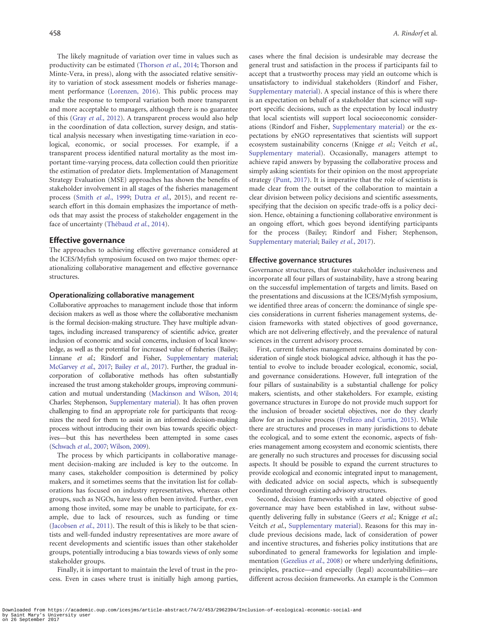The likely magnitude of variation over time in values such as productivity can be estimated [\(Thorson](#page-9-0) et al., 2014; Thorson and Minte-Vera, in press), along with the associated relative sensitivity to variation of stock assessment models or fisheries management performance [\(Lorenzen, 2016\)](#page-8-0). This public process may make the response to temporal variation both more transparent and more acceptable to managers, although there is no guarantee of this (Gray et al.[, 2012\)](#page-8-0). A transparent process would also help in the coordination of data collection, survey design, and statistical analysis necessary when investigating time-variation in ecological, economic, or social processes. For example, if a transparent process identified natural mortality as the most important time-varying process, data collection could then prioritize the estimation of predator diets. Implementation of Management Strategy Evaluation (MSE) approaches has shown the benefits of stakeholder involvement in all stages of the fisheries management process (Smith et al.[, 1999;](#page-9-0) Dutra et al[., 2015](#page-7-0)), and recent research effort in this domain emphasizes the importance of methods that may assist the process of stakeholder engagement in the face of uncertainty (Thébaud et al., 2014).

#### Effective governance

The approaches to achieving effective governance considered at the ICES/Myfish symposium focused on two major themes: operationalizing collaborative management and effective governance structures.

#### Operationalizing collaborative management

Collaborative approaches to management include those that inform decision makers as well as those where the collaborative mechanism is the formal decision-making structure. They have multiple advantages, including increased transparency of scientific advice, greater inclusion of economic and social concerns, inclusion of local knowledge, as well as the potential for increased value of fisheries (Bailey; Linnane et al.; Rindorf and Fisher, [Supplementary material](http://icesjms.oxfordjournals.org/lookup/suppl/doi:10.1093/icesjms/fsw226/-/DC1); [McGarvey](#page-8-0) et al., 2017; Bailey et al.[, 2017\)](#page-7-0). Further, the gradual incorporation of collaborative methods has often substantially increased the trust among stakeholder groups, improving communication and mutual understanding [\(Mackinson and Wilson, 2014](#page-8-0); Charles; Stephenson, [Supplementary material\)](http://icesjms.oxfordjournals.org/lookup/suppl/doi:10.1093/icesjms/fsw226/-/DC1). It has often proven challenging to find an appropriate role for participants that recognizes the need for them to assist in an informed decision-making process without introducing their own bias towards specific objectives—but this has nevertheless been attempted in some cases [\(Schwach](#page-9-0) et al., 2007; [Wilson, 2009](#page-10-0)).

The process by which participants in collaborative management decision-making are included is key to the outcome. In many cases, stakeholder composition is determined by policy makers, and it sometimes seems that the invitation list for collaborations has focused on industry representatives, whereas other groups, such as NGOs, have less often been invited. Further, even among those invited, some may be unable to participate, for example, due to lack of resources, such as funding or time ([Jacobsen](#page-8-0) et al., 2011). The result of this is likely to be that scientists and well-funded industry representatives are more aware of recent developments and scientific issues than other stakeholder groups, potentially introducing a bias towards views of only some stakeholder groups.

Finally, it is important to maintain the level of trust in the process. Even in cases where trust is initially high among parties, cases where the final decision is undesirable may decrease the general trust and satisfaction in the process if participants fail to accept that a trustworthy process may yield an outcome which is unsatisfactory to individual stakeholders (Rindorf and Fisher, [Supplementary material\)](http://icesjms.oxfordjournals.org/lookup/suppl/doi:10.1093/icesjms/fsw226/-/DC1). A special instance of this is where there is an expectation on behalf of a stakeholder that science will support specific decisions, such as the expectation by local industry that local scientists will support local socioeconomic considerations (Rindorf and Fisher, [Supplementary material](http://icesjms.oxfordjournals.org/lookup/suppl/doi:10.1093/icesjms/fsw226/-/DC1)) or the expectations by eNGO representatives that scientists will support ecosystem sustainability concerns (Knigge et al.; Veitch et al., [Supplementary material](http://icesjms.oxfordjournals.org/lookup/suppl/doi:10.1093/icesjms/fsw226/-/DC1)). Occasionally, managers attempt to achieve rapid answers by bypassing the collaborative process and simply asking scientists for their opinion on the most appropriate strategy [\(Punt, 2017](#page-9-0)). It is imperative that the role of scientists is made clear from the outset of the collaboration to maintain a clear division between policy decisions and scientific assessments, specifying that the decision on specific trade-offs is a policy decision. Hence, obtaining a functioning collaborative environment is an ongoing effort, which goes beyond identifying participants for the process (Bailey; Rindorf and Fisher; Stephenson, [Supplementary material](http://icesjms.oxfordjournals.org/lookup/suppl/doi:10.1093/icesjms/fsw226/-/DC1); [Bailey](#page-7-0) et al., 2017).

#### Effective governance structures

Governance structures, that favour stakeholder inclusiveness and incorporate all four pillars of sustainability, have a strong bearing on the successful implementation of targets and limits. Based on the presentations and discussions at the ICES/Myfish symposium, we identified three areas of concern: the dominance of single species considerations in current fisheries management systems, decision frameworks with stated objectives of good governance, which are not delivering effectively, and the prevalence of natural sciences in the current advisory process.

First, current fisheries management remains dominated by consideration of single stock biological advice, although it has the potential to evolve to include broader ecological, economic, social, and governance considerations. However, full integration of the four pillars of sustainability is a substantial challenge for policy makers, scientists, and other stakeholders. For example, existing governance structures in Europe do not provide much support for the inclusion of broader societal objectives, nor do they clearly allow for an inclusive process [\(Prellezo and Curtin, 2015\)](#page-9-0). While there are structures and processes in many jurisdictions to debate the ecological, and to some extent the economic, aspects of fisheries management among ecosystem and economic scientists, there are generally no such structures and processes for discussing social aspects. It should be possible to expand the current structures to provide ecological and economic integrated input to management, with dedicated advice on social aspects, which is subsequently coordinated through existing advisory structures.

Second, decision frameworks with a stated objective of good governance may have been established in law, without subsequently delivering fully in substance (Geers et al.; Knigge et al.; Veitch et al., [Supplementary material](http://icesjms.oxfordjournals.org/lookup/suppl/doi:10.1093/icesjms/fsw226/-/DC1)). Reasons for this may include previous decisions made, lack of consideration of power and incentive structures, and fisheries policy institutions that are subordinated to general frameworks for legislation and implementation ([Gezelius](#page-8-0) et al., 2008) or where underlying definitions, principles, practice—and especially (legal) accountabilities—are different across decision frameworks. An example is the Common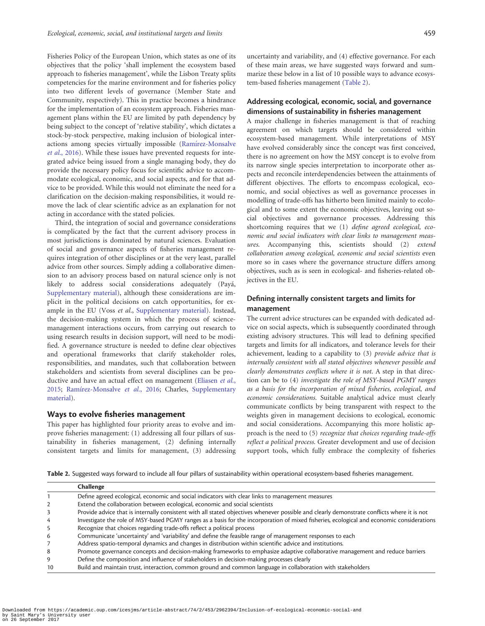<span id="page-6-0"></span>Fisheries Policy of the European Union, which states as one of its objectives that the policy 'shall implement the ecosystem based approach to fisheries management', while the Lisbon Treaty splits competencies for the marine environment and for fisheries policy into two different levels of governance (Member State and Community, respectively). This in practice becomes a hindrance for the implementation of an ecosystem approach. Fisheries management plans within the EU are limited by path dependency by being subject to the concept of 'relative stability', which dictates a stock-by-stock perspective, making inclusion of biological inter-actions among species virtually impossible ([Ram](#page-9-0)í[rez-Monsalve](#page-9-0) et al.[, 2016](#page-9-0)). While these issues have prevented requests for integrated advice being issued from a single managing body, they do provide the necessary policy focus for scientific advice to accommodate ecological, economic, and social aspects, and for that advice to be provided. While this would not eliminate the need for a clarification on the decision-making responsibilities, it would remove the lack of clear scientific advice as an explanation for not acting in accordance with the stated policies.

Third, the integration of social and governance considerations is complicated by the fact that the current advisory process in most jurisdictions is dominated by natural sciences. Evaluation of social and governance aspects of fisheries management requires integration of other disciplines or at the very least, parallel advice from other sources. Simply adding a collaborative dimension to an advisory process based on natural science only is not likely to address social considerations adequately (Payá, [Supplementary material\)](http://icesjms.oxfordjournals.org/lookup/suppl/doi:10.1093/icesjms/fsw226/-/DC1), although these considerations are implicit in the political decisions on catch opportunities, for ex-ample in the EU (Voss et al., [Supplementary material](http://icesjms.oxfordjournals.org/lookup/suppl/doi:10.1093/icesjms/fsw226/-/DC1)). Instead, the decision-making system in which the process of sciencemanagement interactions occurs, from carrying out research to using research results in decision support, will need to be modified. A governance structure is needed to define clear objectives and operational frameworks that clarify stakeholder roles, responsibilities, and mandates, such that collaboration between stakeholders and scientists from several disciplines can be pro-ductive and have an actual effect on management [\(Eliasen](#page-7-0) et al., [2015;](#page-7-0) [Ram](#page-9-0)írez-Monsalve et al., 2016; Charles, [Supplementary](http://icesjms.oxfordjournals.org/lookup/suppl/doi:10.1093/icesjms/fsw226/-/DC1) [material](http://icesjms.oxfordjournals.org/lookup/suppl/doi:10.1093/icesjms/fsw226/-/DC1)).

#### Ways to evolve fisheries management

This paper has highlighted four priority areas to evolve and improve fisheries management: (1) addressing all four pillars of sustainability in fisheries management, (2) defining internally consistent targets and limits for management, (3) addressing

uncertainty and variability, and (4) effective governance. For each of these main areas, we have suggested ways forward and summarize these below in a list of 10 possible ways to advance ecosystem-based fisheries management (Table 2).

### Addressing ecological, economic, social, and governance dimensions of sustainability in fisheries management

A major challenge in fisheries management is that of reaching agreement on which targets should be considered within ecosystem-based management. While interpretations of MSY have evolved considerably since the concept was first conceived, there is no agreement on how the MSY concept is to evolve from its narrow single species interpretation to incorporate other aspects and reconcile interdependencies between the attainments of different objectives. The efforts to encompass ecological, economic, and social objectives as well as governance processes in modelling of trade-offs has hitherto been limited mainly to ecological and to some extent the economic objectives, leaving out social objectives and governance processes. Addressing this shortcoming requires that we (1) define agreed ecological, economic and social indicators with clear links to management measures. Accompanying this, scientists should (2) extend collaboration among ecological, economic and social scientists even more so in cases where the governance structure differs among objectives, such as is seen in ecological- and fisheries-related objectives in the EU.

### Defining internally consistent targets and limits for management

The current advice structures can be expanded with dedicated advice on social aspects, which is subsequently coordinated through existing advisory structures. This will lead to defining specified targets and limits for all indicators, and tolerance levels for their achievement, leading to a capability to (3) provide advice that is internally consistent with all stated objectives whenever possible and clearly demonstrates conflicts where it is not. A step in that direction can be to (4) investigate the role of MSY-based PGMY ranges as a basis for the incorporation of mixed fisheries, ecological, and economic considerations. Suitable analytical advice must clearly communicate conflicts by being transparent with respect to the weights given in management decisions to ecological, economic and social considerations. Accompanying this more holistic approach is the need to (5) recognize that choices regarding trade-offs reflect a political process. Greater development and use of decision support tools, which fully embrace the complexity of fisheries

Table 2. Suggested ways forward to include all four pillars of sustainability within operational ecosystem-based fisheries management.

|    | <b>Challenge</b>                                                                                                                            |
|----|---------------------------------------------------------------------------------------------------------------------------------------------|
|    | Define agreed ecological, economic and social indicators with clear links to management measures                                            |
|    | Extend the collaboration between ecological, economic and social scientists                                                                 |
|    | Provide advice that is internally consistent with all stated objectives whenever possible and clearly demonstrate conflicts where it is not |
|    | Investigate the role of MSY-based PGMY ranges as a basis for the incorporation of mixed fisheries, ecological and economic considerations   |
|    | Recognize that choices regarding trade-offs reflect a political process                                                                     |
| 6  | Communicate 'uncertainty' and 'variability' and define the feasible range of management responses to each                                   |
|    | Address spatio-temporal dynamics and changes in distribution within scientific advice and institutions.                                     |
| 8  | Promote governance concepts and decision-making frameworks to emphasize adaptive collaborative management and reduce barriers               |
|    | Define the composition and influence of stakeholders in decision-making processes clearly                                                   |
| 10 | Build and maintain trust, interaction, common ground and common language in collaboration with stakeholders                                 |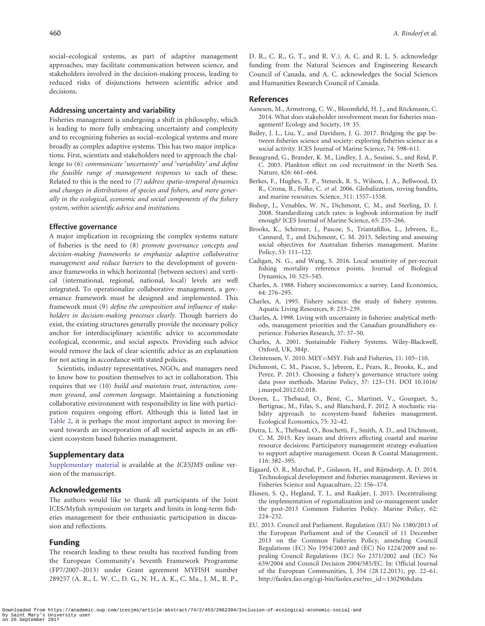<span id="page-7-0"></span>social–ecological systems, as part of adaptive management approaches, may facilitate communication between science, and stakeholders involved in the decision-making process, leading to reduced risks of disjunctions between scientific advice and decisions.

#### Addressing uncertainty and variability

Fisheries management is undergoing a shift in philosophy, which is leading to more fully embracing uncertainty and complexity and to recognizing fisheries as social–ecological systems and more broadly as complex adaptive systems. This has two major implications. First, scientists and stakeholders need to approach the challenge to (6) communicate 'uncertainty' and 'variability' and define the feasible range of management responses to each of these. Related to this is the need to (7) address spatio-temporal dynamics and changes in distributions of species and fishers, and more generally in the ecological, economic and social components of the fishery system, within scientific advice and institutions.

#### Effective governance

A major implication in recognizing the complex systems nature of fisheries is the need to (8) promote governance concepts and decision-making frameworks to emphasize adaptive collaborative management and reduce barriers to the development of governance frameworks in which horizontal (between sectors) and vertical (international, regional, national, local) levels are well integrated. To operationalize collaborative management, a governance framework must be designed and implemented. This framework must (9) define the composition and influence of stakeholders in decision-making processes clearly. Though barriers do exist, the existing structures generally provide the necessary policy anchor for interdisciplinary scientific advice to accommodate ecological, economic, and social aspects. Providing such advice would remove the lack of clear scientific advice as an explanation for not acting in accordance with stated policies.

Scientists, industry representatives, NGOs, and managers need to know how to position themselves to act in collaboration. This requires that we (10) build and maintain trust, interaction, common ground, and common language. Maintaining a functioning collaborative environment with responsibility in line with participation requires ongoing effort. Although this is listed last in [Table 2,](#page-6-0) it is perhaps the most important aspect in moving forward towards an incorporation of all societal aspects in an efficient ecosystem based fisheries management.

#### Supplementary data

[Supplementary material](http://icesjms.oxfordjournals.org/lookup/suppl/doi:10.1093/icesjms/fsw226/-/DC1) is available at the ICESJMS online version of the manuscript.

#### Acknowledgements

The authors would like to thank all participants of the Joint ICES/Myfish symposium on targets and limits in long-term fisheries management for their enthusiastic participation in discussion and reflections.

#### Funding

The research leading to these results has received funding from the European Community's Seventh Framework Programme (FP7/2007–2013) under Grant agreement MYFISH number 289257 (A. R., L. W. C., D. G., N. H., A. K., C. Ma., J. M., R. P., D. R., C. R., G. T., and R. V.). A. C. and R. L. S. acknowledge funding from the Natural Sciences and Engineering Research Council of Canada, and A. C. acknowledges the Social Sciences and Humanities Research Council of Canada.

#### References

- Aanesen, M., Armstrong, C. W., Bloomfield, H. J., and Röckmann, C. 2014. What does stakeholder involvement mean for fisheries management? Ecology and Society, 19: 35.
- Bailey, J. L., Liu, Y., and Davidsen, J. G. 2017. Bridging the gap between fisheries science and society: exploring fisheries science as a social activity. ICES Journal of Marine Science, 74: 598–611.
- Beaugrand, G., Brander, K. M., Lindley, J. A., Souissi, S., and Reid, P. C. 2003. Plankton effect on cod recruitment in the North Sea. Nature, 426: 661–664.
- Berkes, F., Hughes, T. P., Steneck, R. S., Wilson, J. A., Bellwood, D. R., Crona, B., Folke, C. et al. 2006. Globalization, roving bandits, and marine resources. Science, 311: 1557–1558.
- Bishop, J., Venables, W. N., Dichmont, C. M., and Sterling, D. J. 2008. Standardizing catch rates: is logbook information by itself enough? ICES Journal of Marine Science, 65: 255–266.
- Brooks, K., Schirmer, J., Pascoe, S., Triantafillos, L., Jebreen, E., Cannard, T., and Dichmont, C. M. 2015. Selecting and assessing social objectives for Australian fisheries management. Marine Policy, 53: 111–122.
- Cadigan, N. G., and Wang, S. 2016. Local sensitivity of per-recruit fishing mortality reference points. Journal of Biological Dynamics, 10: 525–545.
- Charles, A. 1988. Fishery socioeconomics: a survey. Land Economics, 64: 276–295.
- Charles, A. 1995. Fishery science: the study of fishery systems. Aquatic Living Resources, 8: 233–239.
- Charles, A. 1998. Living with uncertainty in fisheries: analytical methods, management priorities and the Canadian groundfishery experience. Fisheries Research, 37: 37–50.
- Charles, A. 2001. Sustainable Fishery Systems. Wiley-Blackwell, Oxford, UK, 384p.
- Christensen, V. 2010. MEY=MSY. Fish and Fisheries, 11: 105-110.
- Dichmont, C. M., Pascoe, S., Jebreen, E., Pears, R., Brooks, K., and Perez, P. 2013. Choosing a fishery's governance structure using data poor methods. Marine Policy, 37: 123–131. DOI 10.1016/ j.marpol.2012.02.018.
- Doyen, L., Thebaud, O., Béné, C., Martinet, V., Gourguet, S., Bertignac, M., Fifas, S., and Blanchard, F. 2012. A stochastic viability approach to ecosystem-based fisheries management. Ecological Economics, 75: 32–42.
- Dutra, L. X., Thébaud, O., Boschetti, F., Smith, A. D., and Dichmont, C. M. 2015. Key issues and drivers affecting coastal and marine resource decisions: Participatory management strategy evaluation to support adaptive management. Ocean & Coastal Management, 116: 382–395.
- Eigaard, O. R., Marchal, P., Gislason, H., and Rijnsdorp, A. D. 2014. Technological development and fisheries management. Reviews in Fisheries Science and Aquaculture, 22: 156–174.
- Eliasen, S. Q., Hegland, T. J., and Raakjær, J. 2015. Decentralising: the implementation of regionalization and co-management under the post-2013 Common Fisheries Policy. Marine Policy, 62: 224–232.
- EU. 2013. Council and Parliament. Regulation (EU) No 1380/2013 of the European Parliament and of the Council of 11 December 2013 on the Common Fisheries Policy, amending Council Regulations (EC) No 1954/2003 and (EC) No 1224/2009 and repealing Council Regulations (EC) No 2371/2002 and (EC) No 639/2004 and Council Decision 2004/585/EC. In: Official Journal of the European Communities, L 354 (28.12.2013), pp. 22–61. [http://faolex.fao.org/cgi-bin/faolex.exe?rec\\_id](http://faolex.fao.org/cgi-bin/faolex.exe?rec_id=130290&database=faolex&search_type=link&table=result&lang=eng&format_name=)=[130290&data](http://faolex.fao.org/cgi-bin/faolex.exe?rec_id=130290&database=faolex&search_type=link&table=result&lang=eng&format_name=)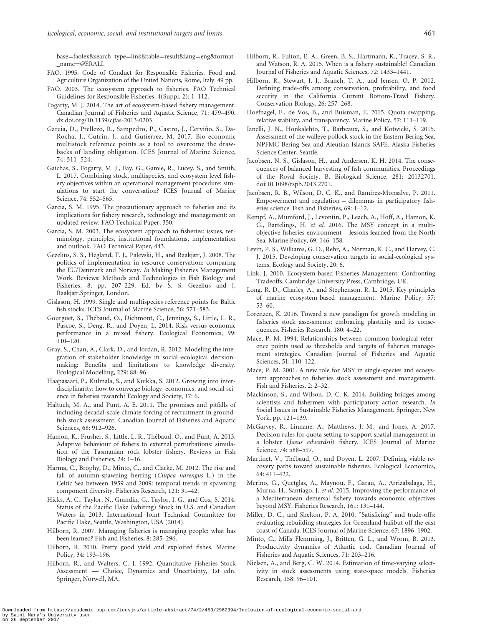<span id="page-8-0"></span>[base](http://faolex.fao.org/cgi-bin/faolex.exe?rec_id=130290&database=faolex&search_type=link&table=result&lang=eng&format_name=)=[faolex&search\\_type](http://faolex.fao.org/cgi-bin/faolex.exe?rec_id=130290&database=faolex&search_type=link&table=result&lang=eng&format_name=)=[link&table](http://faolex.fao.org/cgi-bin/faolex.exe?rec_id=130290&database=faolex&search_type=link&table=result&lang=eng&format_name=)=[result&lang](http://faolex.fao.org/cgi-bin/faolex.exe?rec_id=130290&database=faolex&search_type=link&table=result&lang=eng&format_name=)=[eng&format](http://faolex.fao.org/cgi-bin/faolex.exe?rec_id=130290&database=faolex&search_type=link&table=result&lang=eng&format_name=) [\\_name](http://faolex.fao.org/cgi-bin/faolex.exe?rec_id=130290&database=faolex&search_type=link&table=result&lang=eng&format_name=)¼[@ERALL](http://faolex.fao.org/cgi-bin/faolex.exe?rec_id=130290&database=faolex&search_type=link&table=result&lang=eng&format_name=)

- FAO. 1995. Code of Conduct for Responsible Fisheries. Food and Agriculture Organization of the United Nations, Rome, Italy. 49 pp.
- FAO. 2003. The ecosystem approach to fisheries. FAO Technical Guidelines for Responsible Fisheries, 4(Suppl. 2): 1–112.
- Fogarty, M. J. 2014. The art of ecosystem-based fishery management. Canadian Journal of Fisheries and Aquatic Science, 71: 479–490. dx.doi.org/10.1139/cjfas-2013-0203
- Garcia, D., Prellezo, R., Sampedro, P., Castro, J., Cervino, S., Da- ~ Rocha, J., Cutrin, J., and Gutierrez, M. 2017. Bio-economic multistock reference points as a tool to overcome the drawbacks of landing obligation. ICES Journal of Marine Science, 74: 511–524.
- Gaichas, S., Fogarty, M. J., Fay, G., Gamle, R., Lucey, S., and Smith, L. 2017. Combining stock, multispecies, and ecosystem level fishery objectives within an operational management procedure: simulations to start the conversation? ICES Journal of Marine Science, 74: 552–565.
- Garcia, S. M. 1995. The precautionary approach to fisheries and its implications for fishery research, technology and management: an updated review. FAO Technical Paper, 350.
- Garcia, S. M. 2003. The ecosystem approach to fisheries: issues, terminology, principles, institutional foundations, implementation and outlook. FAO Technical Paper, 443.
- Gezelius, S. S., Hegland, T. J., Palevski, H., and Raakjær, J. 2008. The politics of implementation in resource conservation: comparing the EU/Denmark and Norway. In Making Fisheries Management Work. Reviews: Methods and Technologies in Fish Biology and Fisheries, 8, pp. 207–229. Ed. by S. S. Gezelius and J. Raakjær.Springer, London.
- Gislason, H. 1999. Single and multispecies reference points for Baltic fish stocks. ICES Journal of Marine Science, 56: 571–583.
- Gourguet, S., Thébaud, O., Dichmont, C., Jennings, S., Little, L. R., Pascoe, S., Deng, R., and Doyen, L. 2014. Risk versus economic performance in a mixed fishery. Ecological Economics, 99: 110–120.
- Gray, S., Chan, A., Clark, D., and Jordan, R. 2012. Modeling the integration of stakeholder knowledge in social–ecological decisionmaking: Benefits and limitations to knowledge diversity. Ecological Modelling, 229: 88–96.
- Haapasaari, P., Kulmala, S., and Kuikka, S. 2012. Growing into interdisciplinarity: how to converge biology, economics, and social science in fisheries research? Ecology and Society, 17: 6.
- Haltuch, M. A., and Punt, A. E. 2011. The promises and pitfalls of including decadal-scale climate forcing of recruitment in groundfish stock assessment. Canadian Journal of Fisheries and Aquatic Sciences, 68: 912–926.
- Hamon, K., Frusher, S., Little, L. R., Thébaud, O., and Punt, A. 2013. Adaptive behaviour of fishers to external perturbations: simulation of the Tasmanian rock lobster fishery. Reviews in Fish Biology and Fisheries, 24: 1–16.
- Harma, C., Brophy, D., Minto, C., and Clarke, M. 2012. The rise and fall of autumn-spawning herring (Clupea harengus L.) in the Celtic Sea between 1959 and 2009: temporal trends in spawning component diversity. Fisheries Research, 121: 31–42.
- Hicks, A. C., Taylor, N., Grandin, C., Taylor, I. G., and Cox, S. 2014. Status of the Pacific Hake (whiting) Stock in U.S. and Canadian Waters in 2013. International Joint Technical Committee for Pacific Hake, Seattle, Washington, USA (2014).
- Hilborn, R. 2007. Managing fisheries is managing people: what has been learned? Fish and Fisheries, 8: 285–296.
- Hilborn, R. 2010. Pretty good yield and exploited fishes. Marine Policy, 34: 193–196.
- Hilborn, R., and Walters, C. J. 1992. Quantitative Fisheries Stock Assessment — Choice, Dynamics and Uncertainty, 1st edn. Springer, Norwell, MA.
- Hilborn, R., Fulton, E. A., Green, B. S., Hartmann, K., Tracey, S. R., and Watson, R. A. 2015. When is a fishery sustainable? Canadian Journal of Fisheries and Aquatic Sciences, 72: 1433–1441.
- Hilborn, R., Stewart, I. J., Branch, T. A., and Jensen, O. P. 2012. Defining trade-offs among conservation, profitability, and food security in the California Current Bottom-Trawl Fishery. Conservation Biology, 26: 257–268.
- Hoefnagel, E., de Vos, B., and Buisman, E. 2015. Quota swapping, relative stability, and transparency. Marine Policy, 57: 111–119.
- Ianelli, J. N., Honkalehto, T., Barbeaux, S., and Kotwicki, S. 2015. Assessment of the walleye pollock stock in the Eastern Bering Sea. NPFMC Bering Sea and Aleutian Islands SAFE. Alaska Fisheries Science Center, Seattle.
- Jacobsen, N. S., Gislason, H., and Andersen, K. H. 2014. The consequences of balanced harvesting of fish communities. Proceedings of the Royal Society. B. Biological Science, 281: 20132701. doi:10.1098/rspb.2013.2701.
- Jacobsen, R. B., Wilson, D. C. K., and Ramirez-Monsalve, P. 2011. Empowerment and regulation – dilemmas in participatory fisheries science. Fish and Fisheries, 69: 1–12.
- Kempf, A., Mumford, J., Levontin, P., Leach, A., Hoff, A., Hamon, K. G., Bartelings, H. et al. 2016. The MSY concept in a multiobjective fisheries environment – lessons learned from the North Sea. Marine Policy, 69: 146–158.
- Levin, P. S., Williams, G. D., Rehr, A., Norman, K. C., and Harvey, C. J. 2015. Developing conservation targets in social-ecological systems. Ecology and Society, 20: 6.
- Link, J. 2010. Ecosystem-based Fisheries Management: Confronting Tradeoffs. Cambridge University Press, Cambridge, UK.
- Long, R. D., Charles, A., and Stephenson, R. L. 2015. Key principles of marine ecosystem-based management. Marine Policy, 57: 53–60.
- Lorenzen, K. 2016. Toward a new paradigm for growth modeling in fisheries stock assessments: embracing plasticity and its consequences. Fisheries Research, 180: 4–22.
- Mace, P. M. 1994. Relationships between common biological reference points used as thresholds and targets of fisheries management strategies. Canadian Journal of Fisheries and Aquatic Sciences, 51: 110–122.
- Mace, P. M. 2001. A new role for MSY in single-species and ecosystem approaches to fisheries stock assessment and management. Fish and Fisheries, 2: 2–32.
- Mackinson, S., and Wilson, D. C. K. 2014, Building bridges among scientists and fishermen with participatory action research. In Social Issues in Sustainable Fisheries Management. Springer, New York. pp. 121–139.
- McGarvey, R., Linnane, A., Matthews, J. M., and Jones, A. 2017. Decision rules for quota setting to support spatial management in a lobster (Jasus edwardsii) fishery. ICES Journal of Marine Science, 74: 588–597.
- Martinet, V., Thébaud, O., and Doyen, L. 2007. Defining viable recovery paths toward sustainable fisheries. Ecological Economics, 64: 411–422.
- Merino, G., Quetglas, A., Maynou, F., Garau, A., Arrizabalaga, H., Murua, H., Santiago, J. et al. 2015. Improving the performance of a Mediterranean demersal fishery towards economic objectives beyond MSY. Fisheries Research, 161: 131–144.
- Miller, D. C., and Shelton, P. A. 2010. "Satisficing" and trade-offs: evaluating rebuilding strategies for Greenland halibut off the east coast of Canada. ICES Journal of Marine Science, 67: 1896–1902.
- Minto, C., Mills Flemming, J., Britten, G. L., and Worm, B. 2013. Productivity dynamics of Atlantic cod. Canadian Journal of Fisheries and Aquatic Sciences, 71: 203–216.
- Nielsen, A., and Berg, C. W. 2014. Estimation of time-varying selectivity in stock assessments using state-space models. Fisheries Research, 158: 96–101.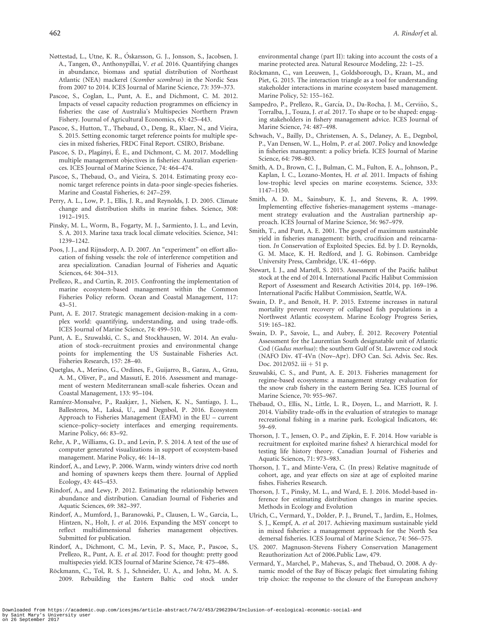- <span id="page-9-0"></span>Nøttestad, L., Utne, K. R., Oskarsson, G. J., Jonsson, S., Jacobsen, J. - A., Tangen, Ø., Anthonypillai, V. et al. 2016. Quantifying changes in abundance, biomass and spatial distribution of Northeast Atlantic (NEA) mackerel (Scomber scombrus) in the Nordic Seas from 2007 to 2014. ICES Journal of Marine Science, 73: 359–373.
- Pascoe, S., Coglan, L., Punt, A. E., and Dichmont, C. M. 2012. Impacts of vessel capacity reduction programmes on efficiency in fisheries: the case of Australia's Multispecies Northern Prawn Fishery. Journal of Agricultural Economics, 63: 425–443.
- Pascoe, S., Hutton, T., Thebaud, O., Deng, R., Klaer, N., and Vieira, S. 2015. Setting economic target reference points for multiple species in mixed fisheries, FRDC Final Report. CSIRO, Brisbane.
- Pascoe, S. D., Plagányi, É. E., and Dichmont, C. M. 2017. Modelling multiple management objectives in fisheries: Australian experiences. ICES Journal of Marine Science, 74: 464–474.
- Pascoe, S., Thebaud, O., and Vieira, S. 2014. Estimating proxy economic target reference points in data-poor single-species fisheries. Marine and Coastal Fisheries, 6: 247–259.
- Perry, A. L., Low, P. J., Ellis, J. R., and Reynolds, J. D. 2005. Climate change and distribution shifts in marine fishes. Science, 308: 1912–1915.
- Pinsky, M. L., Worm, B., Fogarty, M. J., Sarmiento, J. L., and Levin, S. A. 2013. Marine taxa track local climate velocities. Science, 341: 1239–1242.
- Poos, J. J., and Rijnsdorp, A. D. 2007. An "experiment" on effort allocation of fishing vessels: the role of interference competition and area specialization. Canadian Journal of Fisheries and Aquatic Sciences, 64: 304–313.
- Prellezo, R., and Curtin, R. 2015. Confronting the implementation of marine ecosystem-based management within the Common Fisheries Policy reform. Ocean and Coastal Management, 117: 43–51.
- Punt, A. E. 2017. Strategic management decision-making in a complex world: quantifying, understanding, and using trade-offs. ICES Journal of Marine Science, 74: 499–510.
- Punt, A. E., Szuwalski, C. S., and Stockhausen, W. 2014. An evaluation of stock–recruitment proxies and environmental change points for implementing the US Sustainable Fisheries Act. Fisheries Research, 157: 28–40.
- Quetglas, A., Merino, G., Ordines, F., Guijarro, B., Garau, A., Grau, A. M., Oliver, P., and Massutí, E. 2016. Assessment and management of western Mediterranean small-scale fisheries. Ocean and Coastal Management, 133: 95–104.
- Ramírez-Monsalve, P., Raakjær, J., Nielsen, K. N., Santiago, J. L., Ballesteros, M., Laksá, U., and Degnbol, P. 2016. Ecosystem Approach to Fisheries Management (EAFM) in the EU – current science–policy–society interfaces and emerging requirements. Marine Policy, 66: 83–92.
- Rehr, A. P., Williams, G. D., and Levin, P. S. 2014. A test of the use of computer generated visualizations in support of ecosystem-based management. Marine Policy, 46: 14–18.
- Rindorf, A., and Lewy, P. 2006. Warm, windy winters drive cod north and homing of spawners keeps them there. Journal of Applied Ecology, 43: 445–453.
- Rindorf, A., and Lewy, P. 2012. Estimating the relationship between abundance and distribution. Canadian Journal of Fisheries and Aquatic Sciences, 69: 382–397.
- Rindorf, A., Mumford, J., Baranowski, P., Clausen, L. W., Garcia, L., Hintzen, N., Holt, J. et al. 2016. Expanding the MSY concept to reflect multidimensional fisheries management objectives. Submitted for publication.
- Rindorf, A., Dichmont, C. M., Levin, P. S., Mace, P., Pascoe, S., Prellezo, R., Punt, A. E. et al. 2017. Food for thought: pretty good multispecies yield. ICES Journal of Marine Science, 74: 475–486.
- Röckmann, C., Tol, R. S. J., Schneider, U. A., and John, M. A. S. 2009. Rebuilding the Eastern Baltic cod stock under

environmental change (part II): taking into account the costs of a marine protected area. Natural Resource Modeling, 22: 1–25.

- Röckmann, C., van Leeuwen, J., Goldsborough, D., Kraan, M., and Piet, G. 2015. The interaction triangle as a tool for understanding stakeholder interactions in marine ecosystem based management. Marine Policy, 52: 155–162.
- Sampedro, P., Prellezo, R., García, D., Da-Rocha, J. M., Cerviño, S., Torralba, J., Touza, J. et al. 2017. To shape or to be shaped: engaging stakeholders in fishery management advice. ICES Journal of Marine Science, 74: 487–498.
- Schwach, V., Bailly, D., Christensen, A. S., Delaney, A. E., Degnbol, P., Van Densen, W. L., Holm, P. et al. 2007. Policy and knowledge in fisheries management: a policy briefa. ICES Journal of Marine Science, 64: 798–803.
- Smith, A. D., Brown, C. J., Bulman, C. M., Fulton, E. A., Johnson, P., Kaplan, I. C., Lozano-Montes, H. et al. 2011. Impacts of fishing low-trophic level species on marine ecosystems. Science, 333: 1147–1150.
- Smith, A. D. M., Sainsbury, K. J., and Stevens, R. A. 1999. Implementing effective fisheries-management systems –management strategy evaluation and the Australian partnership approach. ICES Journal of Marine Science, 56: 967–979.
- Smith, T., and Punt, A. E. 2001. The gospel of maximum sustainable yield in fisheries management: birth, crucifixion and reincarnation. In Conservation of Exploited Species. Ed. by J. D. Reynolds, G. M. Mace, K. H. Redford, and J. G. Robinson. Cambridge University Press, Cambridge, UK. 41–66pp.
- Stewart, I. J., and Martell, S. 2015. Assessment of the Pacific halibut stock at the end of 2014. International Pacific Halibut Commission Report of Assessment and Research Activities 2014, pp. 169–196. International Pacific Halibut Commission, Seattle, WA.
- Swain, D. P., and Benoît, H. P. 2015. Extreme increases in natural mortality prevent recovery of collapsed fish populations in a Northwest Atlantic ecosystem. Marine Ecology Progress Series, 519: 165–182.
- Swain, D. P., Savoie, L., and Aubry, É. 2012. Recovery Potential Assessment for the Laurentian South designatable unit of Atlantic Cod (Gadus morhua): the southern Gulf of St. Lawrence cod stock (NAFO Div. 4T-4Vn (Nov–Apr). DFO Can. Sci. Advis. Sec. Res. Doc. 2012/052. iii + 51 p.
- Szuwalski, C. S., and Punt, A. E. 2013. Fisheries management for regime-based ecosystems: a management strategy evaluation for the snow crab fishery in the eastern Bering Sea. ICES Journal of Marine Science, 70: 955–967.
- Thébaud, O., Ellis, N., Little, L. R., Doyen, L., and Marriott, R. J. 2014. Viability trade-offs in the evaluation of strategies to manage recreational fishing in a marine park. Ecological Indicators, 46: 59–69.
- Thorson, J. T., Jensen, O. P., and Zipkin, E. F. 2014. How variable is recruitment for exploited marine fishes? A hierarchical model for testing life history theory. Canadian Journal of Fisheries and Aquatic Sciences, 71: 973–983.
- Thorson, J. T., and Minte-Vera, C. (In press) Relative magnitude of cohort, age, and year effects on size at age of exploited marine fishes. Fisheries Research.
- Thorson, J. T., Pinsky, M. L., and Ward, E. J. 2016. Model-based inference for estimating distribution changes in marine species. Methods in Ecology and Evolution
- Ulrich, C., Vermard, Y., Dolder, P. J., Brunel, T., Jardim, E., Holmes, S. J., Kempf, A. et al. 2017. Achieving maximum sustainable yield in mixed fisheries: a management approach for the North Sea demersal fisheries. ICES Journal of Marine Science, 74: 566–575.
- US. 2007. Magnuson-Stevens Fishery Conservation Management Reauthorization Act of 2006.Public Law, 479.
- Vermard, Y., Marchel, P., Mahevas, S., and Thebaud, O. 2008. A dynamic model of the Bay of Biscay pelagic fleet simulating fishing trip choice: the response to the closure of the European anchovy